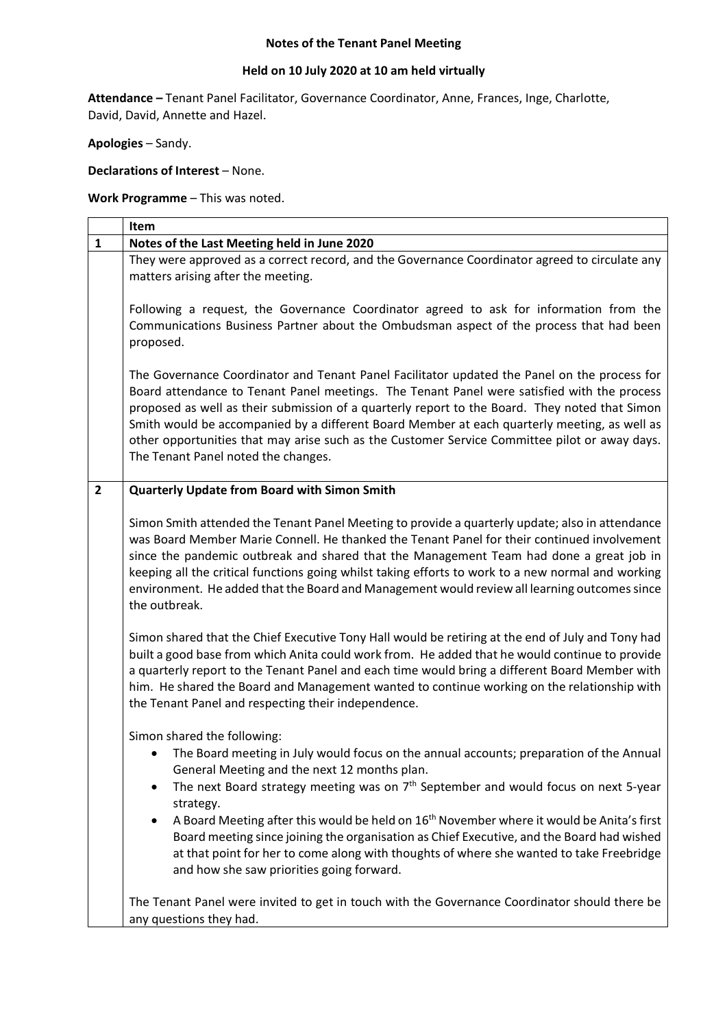## **Notes of the Tenant Panel Meeting**

## **Held on 10 July 2020 at 10 am held virtually**

**Attendance –** Tenant Panel Facilitator, Governance Coordinator, Anne, Frances, Inge, Charlotte, David, David, Annette and Hazel.

**Apologies** – Sandy.

**Declarations of Interest** – None.

**Work Programme** – This was noted.

|                | Item                                                                                                                                                                                                                                                                                                                                                                                                                                                                                                                                                                                     |
|----------------|------------------------------------------------------------------------------------------------------------------------------------------------------------------------------------------------------------------------------------------------------------------------------------------------------------------------------------------------------------------------------------------------------------------------------------------------------------------------------------------------------------------------------------------------------------------------------------------|
| $\mathbf{1}$   | Notes of the Last Meeting held in June 2020                                                                                                                                                                                                                                                                                                                                                                                                                                                                                                                                              |
|                | They were approved as a correct record, and the Governance Coordinator agreed to circulate any<br>matters arising after the meeting.                                                                                                                                                                                                                                                                                                                                                                                                                                                     |
|                | Following a request, the Governance Coordinator agreed to ask for information from the<br>Communications Business Partner about the Ombudsman aspect of the process that had been<br>proposed.                                                                                                                                                                                                                                                                                                                                                                                           |
|                | The Governance Coordinator and Tenant Panel Facilitator updated the Panel on the process for<br>Board attendance to Tenant Panel meetings. The Tenant Panel were satisfied with the process<br>proposed as well as their submission of a quarterly report to the Board. They noted that Simon<br>Smith would be accompanied by a different Board Member at each quarterly meeting, as well as<br>other opportunities that may arise such as the Customer Service Committee pilot or away days.<br>The Tenant Panel noted the changes.                                                    |
| $\overline{2}$ | Quarterly Update from Board with Simon Smith                                                                                                                                                                                                                                                                                                                                                                                                                                                                                                                                             |
|                | Simon Smith attended the Tenant Panel Meeting to provide a quarterly update; also in attendance<br>was Board Member Marie Connell. He thanked the Tenant Panel for their continued involvement<br>since the pandemic outbreak and shared that the Management Team had done a great job in<br>keeping all the critical functions going whilst taking efforts to work to a new normal and working<br>environment. He added that the Board and Management would review all learning outcomes since<br>the outbreak.                                                                         |
|                | Simon shared that the Chief Executive Tony Hall would be retiring at the end of July and Tony had<br>built a good base from which Anita could work from. He added that he would continue to provide<br>a quarterly report to the Tenant Panel and each time would bring a different Board Member with<br>him. He shared the Board and Management wanted to continue working on the relationship with<br>the Tenant Panel and respecting their independence.                                                                                                                              |
|                | Simon shared the following:<br>The Board meeting in July would focus on the annual accounts; preparation of the Annual<br>General Meeting and the next 12 months plan.<br>The next Board strategy meeting was on $7th$ September and would focus on next 5-year<br>٠<br>strategy.<br>A Board Meeting after this would be held on 16 <sup>th</sup> November where it would be Anita's first<br>٠<br>Board meeting since joining the organisation as Chief Executive, and the Board had wished<br>at that point for her to come along with thoughts of where she wanted to take Freebridge |
|                | and how she saw priorities going forward.<br>The Tenant Panel were invited to get in touch with the Governance Coordinator should there be<br>any questions they had.                                                                                                                                                                                                                                                                                                                                                                                                                    |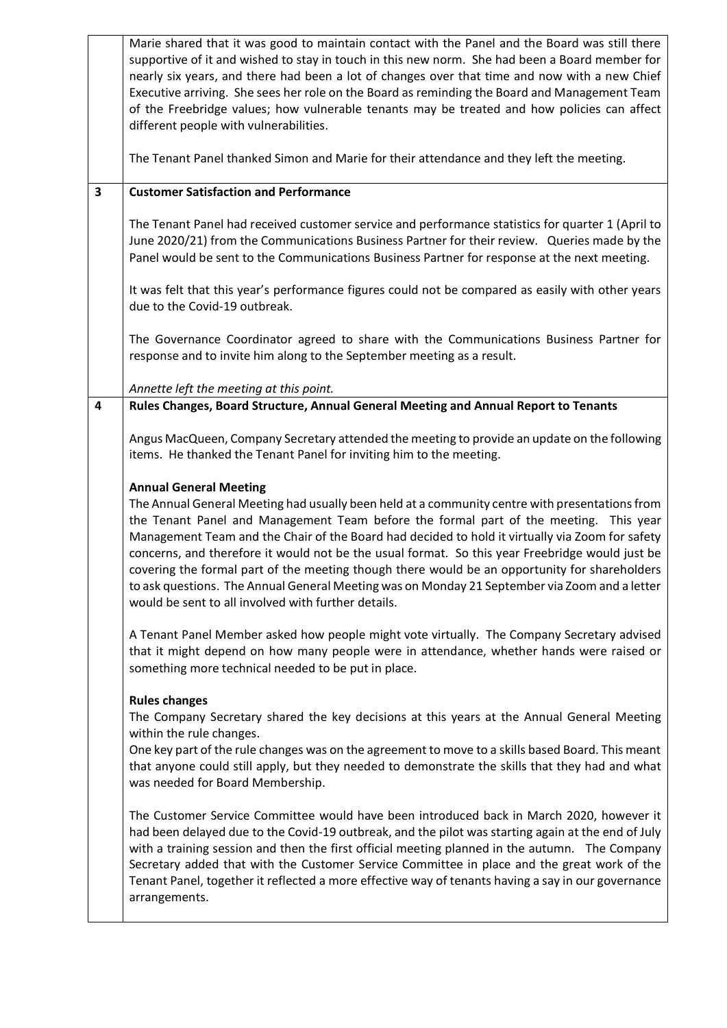|                         | Marie shared that it was good to maintain contact with the Panel and the Board was still there<br>supportive of it and wished to stay in touch in this new norm. She had been a Board member for<br>nearly six years, and there had been a lot of changes over that time and now with a new Chief<br>Executive arriving. She sees her role on the Board as reminding the Board and Management Team<br>of the Freebridge values; how vulnerable tenants may be treated and how policies can affect<br>different people with vulnerabilities.                                                                                                                                             |
|-------------------------|-----------------------------------------------------------------------------------------------------------------------------------------------------------------------------------------------------------------------------------------------------------------------------------------------------------------------------------------------------------------------------------------------------------------------------------------------------------------------------------------------------------------------------------------------------------------------------------------------------------------------------------------------------------------------------------------|
|                         | The Tenant Panel thanked Simon and Marie for their attendance and they left the meeting.                                                                                                                                                                                                                                                                                                                                                                                                                                                                                                                                                                                                |
| $\overline{\mathbf{3}}$ | <b>Customer Satisfaction and Performance</b>                                                                                                                                                                                                                                                                                                                                                                                                                                                                                                                                                                                                                                            |
|                         | The Tenant Panel had received customer service and performance statistics for quarter 1 (April to<br>June 2020/21) from the Communications Business Partner for their review. Queries made by the<br>Panel would be sent to the Communications Business Partner for response at the next meeting.                                                                                                                                                                                                                                                                                                                                                                                       |
|                         | It was felt that this year's performance figures could not be compared as easily with other years<br>due to the Covid-19 outbreak.                                                                                                                                                                                                                                                                                                                                                                                                                                                                                                                                                      |
|                         | The Governance Coordinator agreed to share with the Communications Business Partner for<br>response and to invite him along to the September meeting as a result.                                                                                                                                                                                                                                                                                                                                                                                                                                                                                                                       |
|                         | Annette left the meeting at this point.                                                                                                                                                                                                                                                                                                                                                                                                                                                                                                                                                                                                                                                 |
| $\overline{\mathbf{4}}$ | Rules Changes, Board Structure, Annual General Meeting and Annual Report to Tenants                                                                                                                                                                                                                                                                                                                                                                                                                                                                                                                                                                                                     |
|                         | Angus MacQueen, Company Secretary attended the meeting to provide an update on the following<br>items. He thanked the Tenant Panel for inviting him to the meeting.                                                                                                                                                                                                                                                                                                                                                                                                                                                                                                                     |
|                         | <b>Annual General Meeting</b><br>The Annual General Meeting had usually been held at a community centre with presentations from<br>the Tenant Panel and Management Team before the formal part of the meeting. This year<br>Management Team and the Chair of the Board had decided to hold it virtually via Zoom for safety<br>concerns, and therefore it would not be the usual format. So this year Freebridge would just be<br>covering the formal part of the meeting though there would be an opportunity for shareholders<br>to ask questions. The Annual General Meeting was on Monday 21 September via Zoom and a letter<br>would be sent to all involved with further details. |
|                         | A Tenant Panel Member asked how people might vote virtually. The Company Secretary advised<br>that it might depend on how many people were in attendance, whether hands were raised or<br>something more technical needed to be put in place.                                                                                                                                                                                                                                                                                                                                                                                                                                           |
|                         | <b>Rules changes</b><br>The Company Secretary shared the key decisions at this years at the Annual General Meeting<br>within the rule changes.<br>One key part of the rule changes was on the agreement to move to a skills based Board. This meant<br>that anyone could still apply, but they needed to demonstrate the skills that they had and what<br>was needed for Board Membership.                                                                                                                                                                                                                                                                                              |
|                         | The Customer Service Committee would have been introduced back in March 2020, however it<br>had been delayed due to the Covid-19 outbreak, and the pilot was starting again at the end of July<br>with a training session and then the first official meeting planned in the autumn. The Company<br>Secretary added that with the Customer Service Committee in place and the great work of the<br>Tenant Panel, together it reflected a more effective way of tenants having a say in our governance<br>arrangements.                                                                                                                                                                  |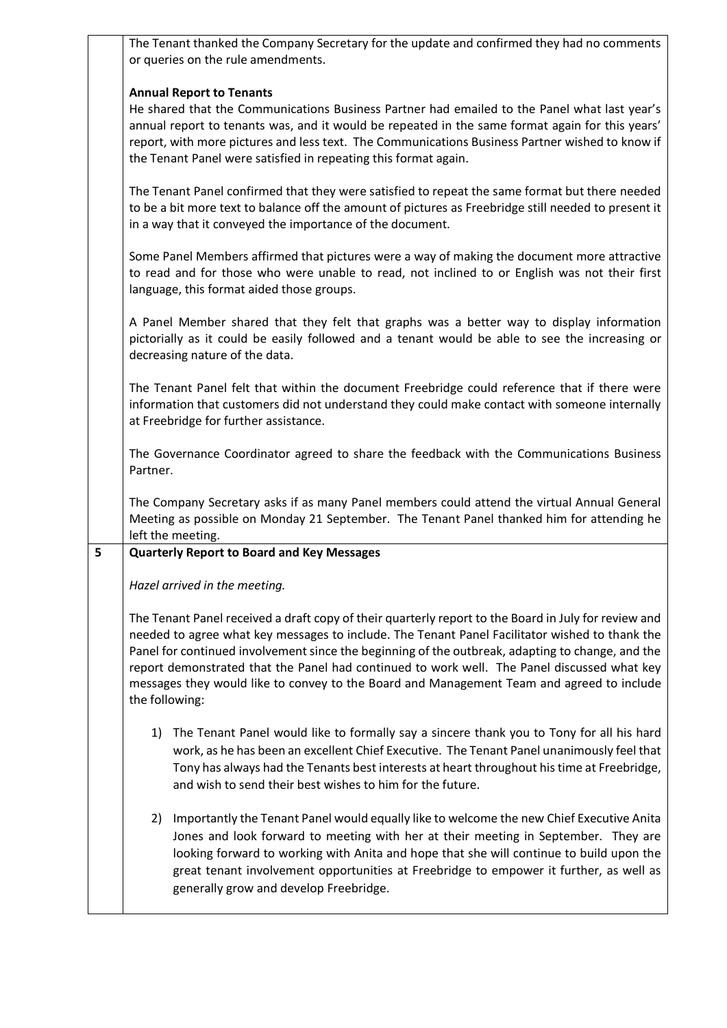|   | The Tenant thanked the Company Secretary for the update and confirmed they had no comments<br>or queries on the rule amendments.                                                                                                                                                                                                                                                                                                                                                                                         |
|---|--------------------------------------------------------------------------------------------------------------------------------------------------------------------------------------------------------------------------------------------------------------------------------------------------------------------------------------------------------------------------------------------------------------------------------------------------------------------------------------------------------------------------|
|   | <b>Annual Report to Tenants</b><br>He shared that the Communications Business Partner had emailed to the Panel what last year's<br>annual report to tenants was, and it would be repeated in the same format again for this years'<br>report, with more pictures and less text. The Communications Business Partner wished to know if<br>the Tenant Panel were satisfied in repeating this format again.                                                                                                                 |
|   | The Tenant Panel confirmed that they were satisfied to repeat the same format but there needed<br>to be a bit more text to balance off the amount of pictures as Freebridge still needed to present it<br>in a way that it conveyed the importance of the document.                                                                                                                                                                                                                                                      |
|   | Some Panel Members affirmed that pictures were a way of making the document more attractive<br>to read and for those who were unable to read, not inclined to or English was not their first<br>language, this format aided those groups.                                                                                                                                                                                                                                                                                |
|   | A Panel Member shared that they felt that graphs was a better way to display information<br>pictorially as it could be easily followed and a tenant would be able to see the increasing or<br>decreasing nature of the data.                                                                                                                                                                                                                                                                                             |
|   | The Tenant Panel felt that within the document Freebridge could reference that if there were<br>information that customers did not understand they could make contact with someone internally<br>at Freebridge for further assistance.                                                                                                                                                                                                                                                                                   |
|   | The Governance Coordinator agreed to share the feedback with the Communications Business<br>Partner.                                                                                                                                                                                                                                                                                                                                                                                                                     |
|   | The Company Secretary asks if as many Panel members could attend the virtual Annual General<br>Meeting as possible on Monday 21 September. The Tenant Panel thanked him for attending he<br>left the meeting.                                                                                                                                                                                                                                                                                                            |
| 5 | <b>Quarterly Report to Board and Key Messages</b>                                                                                                                                                                                                                                                                                                                                                                                                                                                                        |
|   | Hazel arrived in the meeting.                                                                                                                                                                                                                                                                                                                                                                                                                                                                                            |
|   | The Tenant Panel received a draft copy of their quarterly report to the Board in July for review and<br>needed to agree what key messages to include. The Tenant Panel Facilitator wished to thank the<br>Panel for continued involvement since the beginning of the outbreak, adapting to change, and the<br>report demonstrated that the Panel had continued to work well. The Panel discussed what key<br>messages they would like to convey to the Board and Management Team and agreed to include<br>the following: |
|   | 1) The Tenant Panel would like to formally say a sincere thank you to Tony for all his hard<br>work, as he has been an excellent Chief Executive. The Tenant Panel unanimously feel that<br>Tony has always had the Tenants best interests at heart throughout his time at Freebridge,<br>and wish to send their best wishes to him for the future.                                                                                                                                                                      |
|   | 2) Importantly the Tenant Panel would equally like to welcome the new Chief Executive Anita<br>Jones and look forward to meeting with her at their meeting in September. They are<br>looking forward to working with Anita and hope that she will continue to build upon the<br>great tenant involvement opportunities at Freebridge to empower it further, as well as<br>generally grow and develop Freebridge.                                                                                                         |